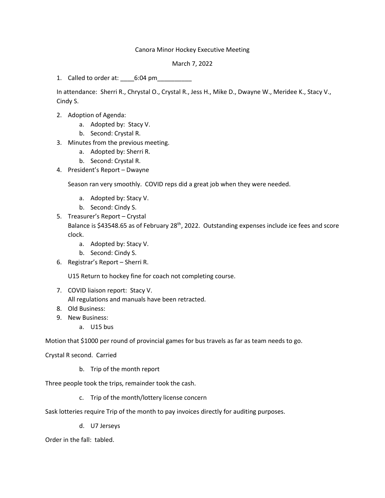## Canora Minor Hockey Executive Meeting

March 7, 2022

1. Called to order at: 6:04 pm

In attendance: Sherri R., Chrystal O., Crystal R., Jess H., Mike D., Dwayne W., Meridee K., Stacy V., Cindy S.

- 2. Adoption of Agenda:
	- a. Adopted by: Stacy V.
	- b. Second: Crystal R.
- 3. Minutes from the previous meeting.
	- a. Adopted by: Sherri R.
	- b. Second: Crystal R.
- 4. President's Report Dwayne

Season ran very smoothly. COVID reps did a great job when they were needed.

- a. Adopted by: Stacy V.
- b. Second: Cindy S.
- 5. Treasurer's Report Crystal Balance is \$43548.65 as of February 28<sup>th</sup>, 2022. Outstanding expenses include ice fees and score clock.
	- a. Adopted by: Stacy V.
	- b. Second: Cindy S.
- 6. Registrar's Report Sherri R.

U15 Return to hockey fine for coach not completing course.

- 7. COVID liaison report: Stacy V. All regulations and manuals have been retracted.
- 8. Old Business:
- 9. New Business:
	- a. U15 bus

Motion that \$1000 per round of provincial games for bus travels as far as team needs to go.

Crystal R second. Carried

b. Trip of the month report

Three people took the trips, remainder took the cash.

c. Trip of the month/lottery license concern

Sask lotteries require Trip of the month to pay invoices directly for auditing purposes.

d. U7 Jerseys

Order in the fall: tabled.